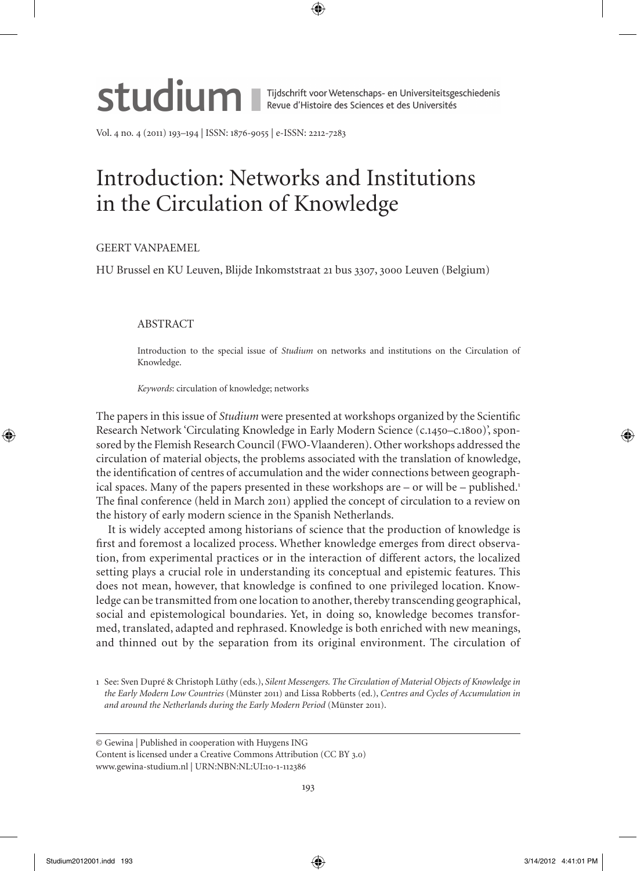

Vol. 4 no. 4 (2011) 193–194 | ISSN: 1876-9055 | e-ISSN: 2212-7283

## Introduction: Networks and Institutions in the Circulation of Knowledge

## Geert Vanpaemel

HU Brussel en KU Leuven, Blijde Inkomststraat 21 bus 3307, 3000 Leuven (Belgium)

## ABSTRACT

Introduction to the special issue of *Studium* on networks and institutions on the Circulation of Knowledge.

*Keywords*: circulation of knowledge; networks

The papers in this issue of *Studium* were presented at workshops organized by the Scientific Research Network 'Circulating Knowledge in Early Modern Science (c.1450–c.1800)', sponsored by the Flemish Research Council (FWO-Vlaanderen). Other workshops addressed the circulation of material objects, the problems associated with the translation of knowledge, the identification of centres of accumulation and the wider connections between geographical spaces. Many of the papers presented in these workshops are  $-$  or will be  $-$  published.<sup>1</sup> The final conference (held in March 2011) applied the concept of circulation to a review on the history of early modern science in the Spanish Netherlands.

It is widely accepted among historians of science that the production of knowledge is first and foremost a localized process. Whether knowledge emerges from direct observation, from experimental practices or in the interaction of different actors, the localized setting plays a crucial role in understanding its conceptual and epistemic features. This does not mean, however, that knowledge is confined to one privileged location. Knowledge can be transmitted from one location to another, thereby transcending geographical, social and epistemological boundaries. Yet, in doing so, knowledge becomes transformed, translated, adapted and rephrased. Knowledge is both enriched with new meanings, and thinned out by the separation from its original environment. The circulation of

<sup>1</sup> See: Sven Dupré & Christoph Lüthy (eds.), *Silent Messengers. The Circulation of Material Objects of Knowledge in the Early Modern Low Countries* (Münster 2011) and Lissa Robberts (ed.), *Centres and Cycles of Accumulation in and around the Netherlands during the Early Modern Period* (Münster 2011).

<sup>©</sup> Gewina | Published in cooperation with Huygens ING

Content is licensed under a Creative Commons Attribution (CC BY 3.0) www.gewina-studium.nl | URN:NBN:NL:UI:10-1-112386